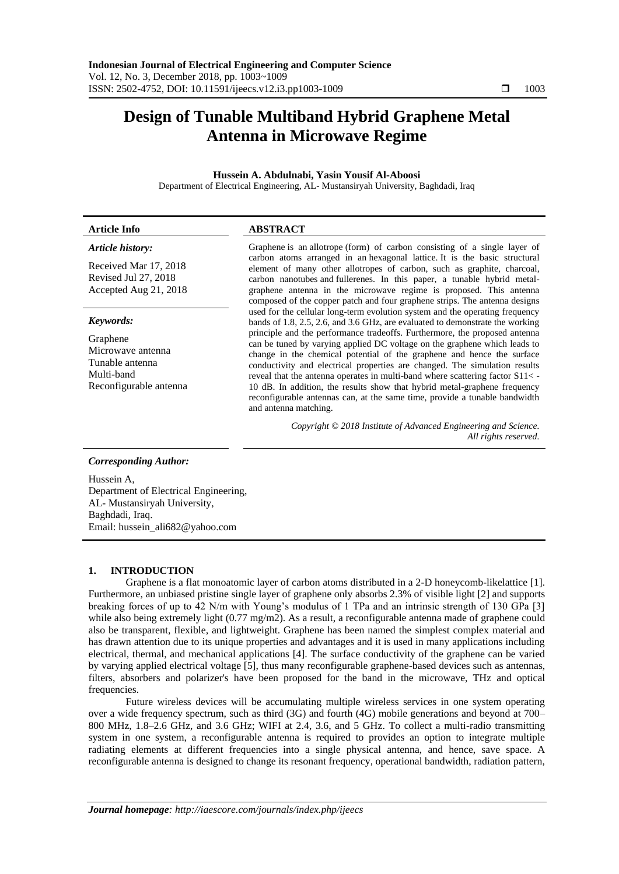# **Design of Tunable Multiband Hybrid Graphene Metal Antenna in Microwave Regime**

# **Hussein A. Abdulnabi, Yasin Yousif Al-Aboosi**

Department of Electrical Engineering, AL- Mustansiryah University, Baghdadi, Iraq

# **Article Info ABSTRACT**

# *Article history:*

Received Mar 17, 2018 Revised Jul 27, 2018 Accepted Aug 21, 2018

## *Keywords:*

Graphene Microwave antenna Tunable antenna Multi-band Reconfigurable antenna Graphene is an [allotrope](https://en.wikipedia.org/wiki/Allotrope) (form) of carbon consisting of a single layer of carbon atoms arranged in an [hexagonal lattice.](https://en.wikipedia.org/wiki/Hexagonal_lattice) It is the basic structural element of many other allotropes of carbon, such as [graphite,](https://en.wikipedia.org/wiki/Graphite) [charcoal,](https://en.wikipedia.org/wiki/Charcoal) [carbon nanotubes](https://en.wikipedia.org/wiki/Carbon_nanotube) and [fullerenes.](https://en.wikipedia.org/wiki/Fullerene) In this paper, a tunable hybrid metalgraphene antenna in the microwave regime is proposed. This antenna composed of the copper patch and four graphene strips. The antenna designs used for the cellular long-term evolution system and the operating frequency bands of 1.8, 2.5, 2.6, and 3.6 GHz, are evaluated to demonstrate the working principle and the performance tradeoffs. Furthermore, the proposed antenna can be tuned by varying applied DC voltage on the graphene which leads to change in the chemical potential of the graphene and hence the surface conductivity and electrical properties are changed. The simulation results reveal that the antenna operates in multi-band where scattering factor S11< - 10 dB. In addition, the results show that hybrid metal-graphene frequency reconfigurable antennas can, at the same time, provide a tunable bandwidth and antenna matching.

> *Copyright © 2018 Institute of Advanced Engineering and Science. All rights reserved.*

## *Corresponding Author:*

Hussein A, Department of Electrical Engineering, AL- Mustansiryah University, Baghdadi, Iraq. Email: [hussein\\_ali682@yahoo.com](mailto:hussein_ali682@yahoo.com)

## **1. INTRODUCTION**

Graphene is a flat monoatomic layer of carbon atoms distributed in a 2-D honeycomb-likelattice [1]. Furthermore, an unbiased pristine single layer of graphene only absorbs 2.3% of visible light [2] and supports breaking forces of up to 42 N/m with Young's modulus of 1 TPa and an intrinsic strength of 130 GPa [3] while also being extremely light (0.77 mg/m2). As a result, a reconfigurable antenna made of graphene could also be transparent, flexible, and lightweight. Graphene has been named the simplest complex material and has drawn attention due to its unique properties and advantages and it is used in many applications including electrical, thermal, and mechanical applications [4]. The surface conductivity of the graphene can be varied by varying applied electrical voltage [5], thus many reconfigurable graphene-based devices such as antennas, filters, absorbers and polarizer's have been proposed for the band in the microwave, THz and optical frequencies.

Future wireless devices will be accumulating multiple wireless services in one system operating over a wide frequency spectrum, such as third (3G) and fourth (4G) mobile generations and beyond at 700– 800 MHz, 1.8–2.6 GHz, and 3.6 GHz; WIFI at 2.4, 3.6, and 5 GHz. To collect a multi-radio transmitting system in one system, a reconfigurable antenna is required to provides an option to integrate multiple radiating elements at different frequencies into a single physical antenna, and hence, save space. A reconfigurable antenna is designed to change its resonant frequency, operational bandwidth, radiation pattern,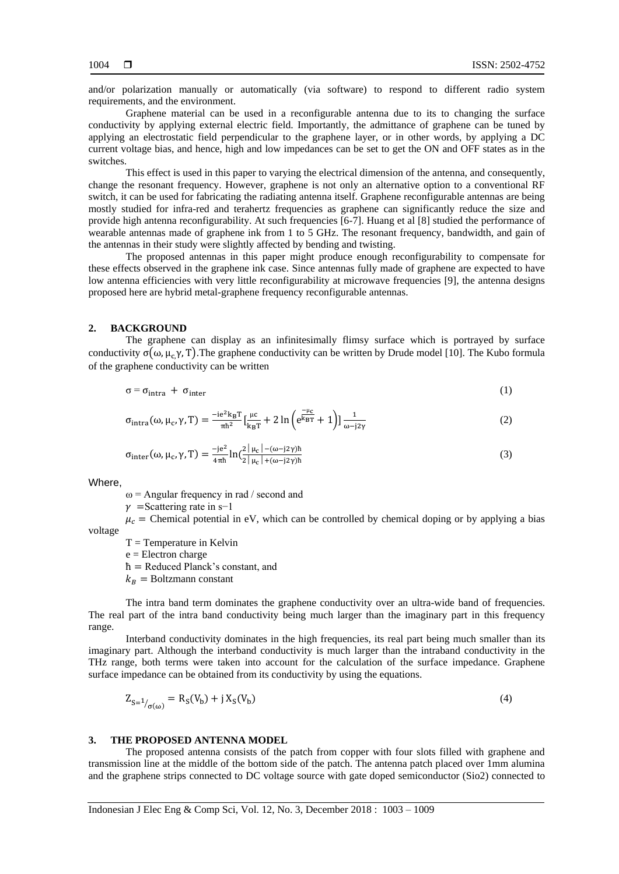and/or polarization manually or automatically (via software) to respond to different radio system requirements, and the environment.

Graphene material can be used in a reconfigurable antenna due to its to changing the surface conductivity by applying external electric field. Importantly, the admittance of graphene can be tuned by applying an electrostatic field perpendicular to the graphene layer, or in other words, by applying a DC current voltage bias, and hence, high and low impedances can be set to get the ON and OFF states as in the switches.

This effect is used in this paper to varying the electrical dimension of the antenna, and consequently, change the resonant frequency. However, graphene is not only an alternative option to a conventional RF switch, it can be used for fabricating the radiating antenna itself. Graphene reconfigurable antennas are being mostly studied for infra-red and terahertz frequencies as graphene can significantly reduce the size and provide high antenna reconfigurability. At such frequencies [6-7]. Huang et al [8] studied the performance of wearable antennas made of graphene ink from 1 to 5 GHz. The resonant frequency, bandwidth, and gain of the antennas in their study were slightly affected by bending and twisting.

The proposed antennas in this paper might produce enough reconfigurability to compensate for these effects observed in the graphene ink case. Since antennas fully made of graphene are expected to have low antenna efficiencies with very little reconfigurability at microwave frequencies [9], the antenna designs proposed here are hybrid metal-graphene frequency reconfigurable antennas.

### **2. BACKGROUND**

The graphene can display as an infinitesimally flimsy surface which is portrayed by surface conductivity  $\sigma(\omega, \mu, \gamma, T)$ . The graphene conductivity can be written by Drude model [10]. The Kubo formula of the graphene conductivity can be written

$$
\sigma = \sigma_{\text{intra}} + \sigma_{\text{inter}} \tag{1}
$$

$$
\sigma_{\text{intra}}(\omega, \mu_c, \gamma, T) = \frac{-ie^2 k_B T}{\pi \hbar^2} \left[ \frac{\mu c}{k_B T} + 2 \ln \left( e^{\frac{-\mu_c}{k_B T}} + 1 \right) \right] \frac{1}{\omega - j2\gamma} \tag{2}
$$

$$
\sigma_{\text{inter}}(\omega, \mu_c, \gamma, T) = \frac{-je^2}{4\pi\hbar} \ln \left( \frac{2|\mu_c| - (\omega - j2\gamma)\hbar}{2|\mu_c| + (\omega - j2\gamma)\hbar} \right) \tag{3}
$$

Where,

 $\omega$  = Angular frequency in rad / second and

 $\nu$  =Scattering rate in s−1

 $\mu_c$  = Chemical potential in eV, which can be controlled by chemical doping or by applying a bias voltage

 $T =$ Temperature in Kelvin

e = Electron charge

ћ = Reduced Planck's constant, and

 $k_B$  = Boltzmann constant

The intra band term dominates the graphene conductivity over an ultra-wide band of frequencies. The real part of the intra band conductivity being much larger than the imaginary part in this frequency range.

Interband conductivity dominates in the high frequencies, its real part being much smaller than its imaginary part. Although the interband conductivity is much larger than the intraband conductivity in the THz range, both terms were taken into account for the calculation of the surface impedance. Graphene surface impedance can be obtained from its conductivity by using the equations.

$$
Z_{S=1/_{\sigma(\omega)}} = R_S(V_b) + j X_S(V_b)
$$
\n(4)

#### **3. THE PROPOSED ANTENNA MODEL**

The proposed antenna consists of the patch from copper with four slots filled with graphene and transmission line at the middle of the bottom side of the patch. The antenna patch placed over 1mm alumina and the graphene strips connected to DC voltage source with gate doped semiconductor (Sio2) connected to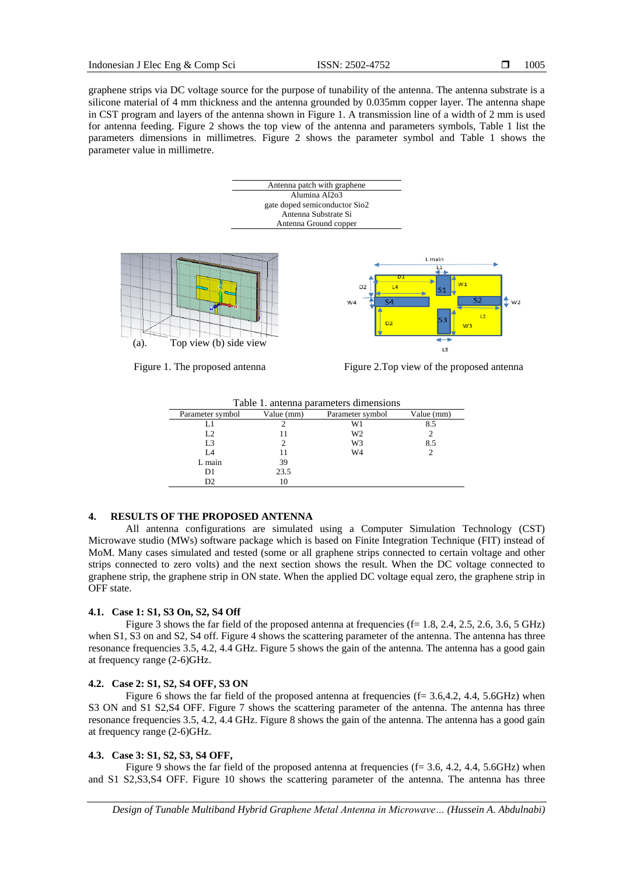graphene strips via DC voltage source for the purpose of tunability of the antenna. The antenna substrate is a silicone material of 4 mm thickness and the antenna grounded by 0.035mm copper layer. The antenna shape in CST program and layers of the antenna shown in Figure 1. A transmission line of a width of 2 mm is used for antenna feeding. Figure 2 shows the top view of the antenna and parameters symbols, Table 1 list the parameters dimensions in millimetres. Figure 2 shows the parameter symbol and Table 1 shows the parameter value in millimetre.



| Table 1. antenna parameters dimensions |            |                  |            |
|----------------------------------------|------------|------------------|------------|
| Parameter symbol                       | Value (mm) | Parameter symbol | Value (mm) |
| L1                                     |            | W1               | 8.5        |
| L <sub>2</sub>                         |            | W <sub>2</sub>   |            |
| L <sub>3</sub>                         |            | W <sub>3</sub>   | 8.5        |
| IA                                     |            | W4               |            |
| L main                                 | 39         |                  |            |
| D1                                     | 23.5       |                  |            |
| D2                                     | 10         |                  |            |

# **4. RESULTS OF THE PROPOSED ANTENNA**

All antenna configurations are simulated using a Computer Simulation Technology (CST) Microwave studio (MWs) software package which is based on Finite Integration Technique (FIT) instead of MoM. Many cases simulated and tested (some or all graphene strips connected to certain voltage and other strips connected to zero volts) and the next section shows the result. When the DC voltage connected to graphene strip, the graphene strip in ON state. When the applied DC voltage equal zero, the graphene strip in OFF state.

## **4.1. Case 1: S1, S3 On, S2, S4 Off**

Figure 3 shows the far field of the proposed antenna at frequencies ( $f= 1.8, 2.4, 2.5, 2.6, 3.6, 5 \text{ GHz}$ ) when S1, S3 on and S2, S4 off. Figure 4 shows the scattering parameter of the antenna. The antenna has three resonance frequencies 3.5, 4.2, 4.4 GHz. Figure 5 shows the gain of the antenna. The antenna has a good gain at frequency range (2-6)GHz.

## **4.2. Case 2: S1, S2, S4 OFF, S3 ON**

Figure 6 shows the far field of the proposed antenna at frequencies  $(f= 3.6,4.2, 4.4, 5.6GHz)$  when S3 ON and S1 S2,S4 OFF. Figure 7 shows the scattering parameter of the antenna. The antenna has three resonance frequencies 3.5, 4.2, 4.4 GHz. Figure 8 shows the gain of the antenna. The antenna has a good gain at frequency range (2-6)GHz.

## **4.3. Case 3: S1, S2, S3, S4 OFF,**

Figure 9 shows the far field of the proposed antenna at frequencies ( $f = 3.6, 4.2, 4.4, 5.6$ GHz) when and S1 S2,S3,S4 OFF. Figure 10 shows the scattering parameter of the antenna. The antenna has three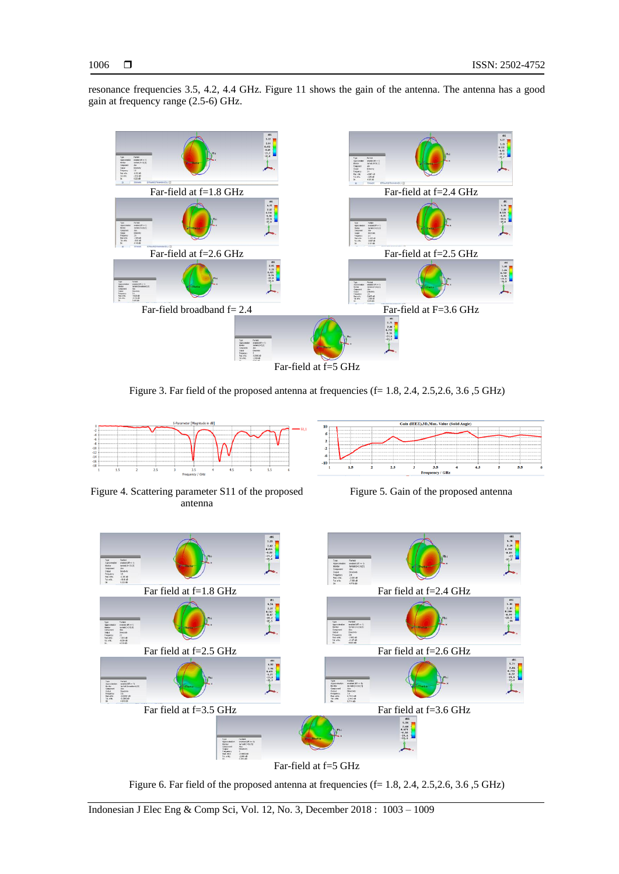resonance frequencies 3.5, 4.2, 4.4 GHz. Figure 11 shows the gain of the antenna. The antenna has a good gain at frequency range (2.5-6) GHz.



Figure 3. Far field of the proposed antenna at frequencies  $(f= 1.8, 2.4, 2.5, 2.6, 3.6, 5 \text{ GHz})$ 



Figure 4. Scattering parameter S11 of the proposed antenna



Figure 5. Gain of the proposed antenna



Figure 6. Far field of the proposed antenna at frequencies  $(f= 1.8, 2.4, 2.5, 2.6, 3.6, 5 \text{ GHz})$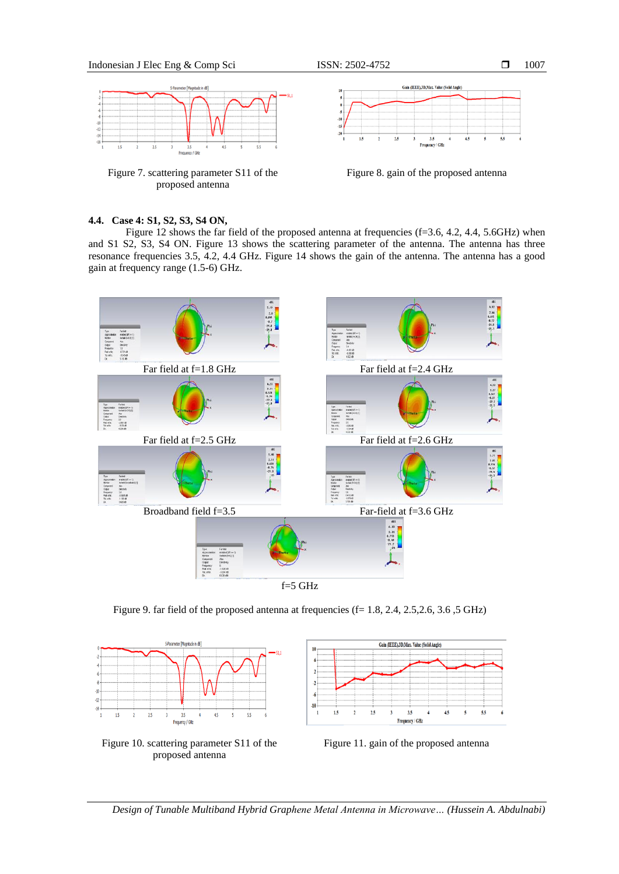

Figure 7. scattering parameter S11 of the Figure 8. gain of the proposed antenna proposed antenna



# **4.4. Case 4: S1, S2, S3, S4 ON,**

Figure 12 shows the far field of the proposed antenna at frequencies  $(f=3.6, 4.2, 4.4, 5.6GHz)$  when and S1 S2, S3, S4 ON. Figure 13 shows the scattering parameter of the antenna. The antenna has three resonance frequencies 3.5, 4.2, 4.4 GHz. Figure 14 shows the gain of the antenna. The antenna has a good gain at frequency range (1.5-6) GHz.



Figure 9. far field of the proposed antenna at frequencies  $(f= 1.8, 2.4, 2.5, 2.6, 3.6, 5 \text{ GHz})$ 



Figure 10. scattering parameter S11 of the Figure 11. gain of the proposed antenna proposed antenna



5.5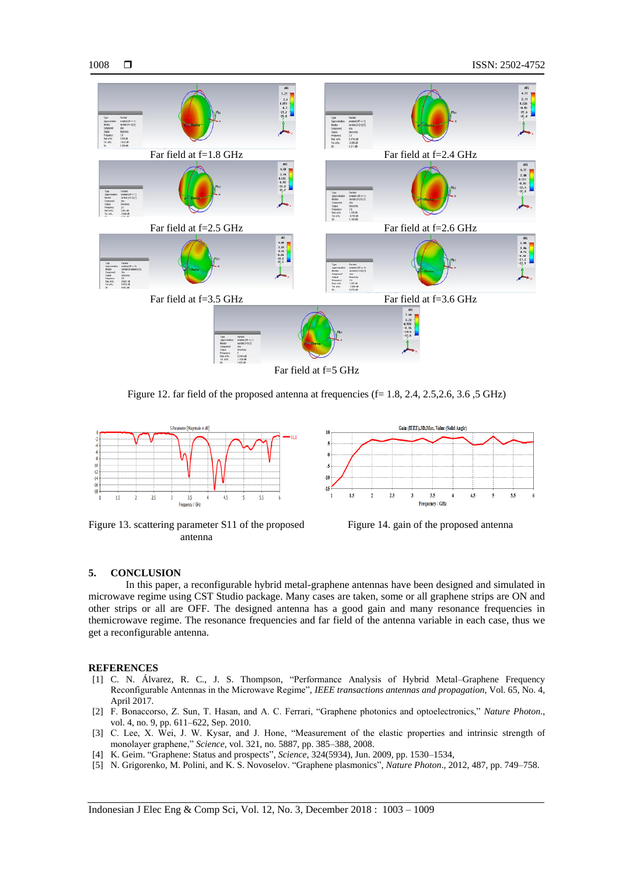

Figure 12. far field of the proposed antenna at frequencies  $(f= 1.8, 2.4, 2.5, 2.6, 3.6, 5 \text{ GHz})$ 



Figure 13. scattering parameter S11 of the proposed Figure 14. gain of the proposed antenna antenna



## **5. CONCLUSION**

In this paper, a reconfigurable hybrid metal-graphene antennas have been designed and simulated in microwave regime using CST Studio package. Many cases are taken, some or all graphene strips are ON and other strips or all are OFF. The designed antenna has a good gain and many resonance frequencies in themicrowave regime. The resonance frequencies and far field of the antenna variable in each case, thus we get a reconfigurable antenna.

## **REFERENCES**

- [1] C. N. Álvarez, R. C., J. S. Thompson, "Performance Analysis of Hybrid Metal–Graphene Frequency Reconfigurable Antennas in the Microwave Regime", *IEEE transactions antennas and propagation*, Vol. 65, No. 4, April 2017.
- [2] F. Bonaccorso, Z. Sun, T. Hasan, and A. C. Ferrari, "Graphene photonics and optoelectronics," *Nature Photon*., vol. 4, no. 9, pp. 611–622, Sep. 2010.
- [3] C. Lee, X. Wei, J. W. Kysar, and J. Hone, "Measurement of the elastic properties and intrinsic strength of monolayer graphene," *Science*, vol. 321, no. 5887, pp. 385–388, 2008.
- [4] K. Geim. "Graphene: Status and prospects", *Science*, 324(5934), Jun. 2009, pp. 1530–1534,
- [5] N. Grigorenko, M. Polini, and K. S. Novoselov. "Graphene plasmonics", *Nature Photon*., 2012, 487, pp. 749–758.